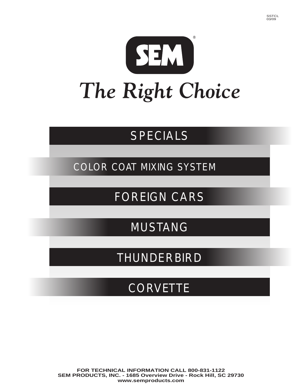

# SPECIALS

COLOR COAT MIXING SYSTEM

FOREIGN CARS

MUSTANG

THUNDERBIRD

**CORVETTE**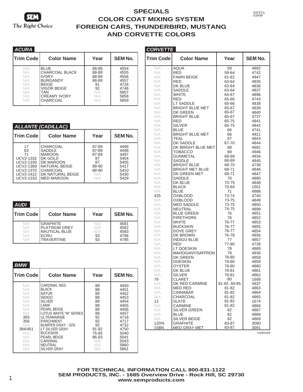

| ACURA                                                       |                                                                                                                                           |                                                                   |                                                                      |
|-------------------------------------------------------------|-------------------------------------------------------------------------------------------------------------------------------------------|-------------------------------------------------------------------|----------------------------------------------------------------------|
| <b>Trim Code</b>                                            | <b>Color Name</b>                                                                                                                         | Year                                                              | <b>SEM No.</b>                                                       |
| N/A<br>N/A<br>N/A<br>N/A<br>N/A<br>N/A<br>N/A<br>N/A<br>N/A | <b>BLUE</b><br>CHARCOAL BLACK<br><b>IVORY</b><br><b>BURGANDY</b><br><b>BEIGE</b><br>VIGOR BEIGE<br>TAN<br><b>CREAMY IVORY</b><br>CHARCOAL | 88-89<br>88-89<br>88-89<br>88-89<br>91<br>92<br>N/A<br>N/A<br>N/A | 4554<br>4555<br>4556<br>4557<br>4726<br>4746<br>5857<br>5858<br>5859 |

#### *ALLANTE (CADILLAC)*

| <b>Trim Code</b> | <b>Color Name</b> | Year  | <b>SEM No.</b> |
|------------------|-------------------|-------|----------------|
| 17               | CHARCOAL          | 87-89 | 4496           |
| 63               | SADDLE            | 87-89 | 4498           |
| 71               | <b>MAROON</b>     | 87-89 | 4497           |
| UCV2-1332        | DK GOLD           | 87    | 5404           |
| UCV2-1335        | DK MAROON         | 87    | 5405           |
| <b>UCV2-1369</b> | NATURAL BEIGE     | 89-90 | 5417           |
| <b>UCV2-1370</b> | CHARCOAL          | 89-90 | 5410           |
| UCV2-1422        | DK NATURAL BEIGE  | N/A   | 5430           |
| <b>UCV2-1333</b> | <b>MED MAROON</b> | N/A   | 5429           |

| <b>AUDI</b>                     |                                                                                              |                               |                                      |
|---------------------------------|----------------------------------------------------------------------------------------------|-------------------------------|--------------------------------------|
| <b>ITrim Code</b>               | <b>Color Name</b>                                                                            | Year                          | <b>SEM No.</b>                       |
| N/A<br>N/A<br>N/A<br>N/A<br>N/A | <b>GRAPHITE</b><br><b>PLATINUM GREY</b><br><b>NAUTICAL BLUE</b><br>FCRU<br><b>TRAVERTINE</b> | N/A<br>N/A<br>N/A<br>93<br>93 | 4581<br>4582<br>4583<br>4796<br>4795 |

| BMW                                                                                                                     |                                                                                                                                                                                                                                                                                                                |                                                                                                                |                                                                                                                                      |
|-------------------------------------------------------------------------------------------------------------------------|----------------------------------------------------------------------------------------------------------------------------------------------------------------------------------------------------------------------------------------------------------------------------------------------------------------|----------------------------------------------------------------------------------------------------------------|--------------------------------------------------------------------------------------------------------------------------------------|
| <b>Trim Code</b>                                                                                                        | <b>Color Name</b>                                                                                                                                                                                                                                                                                              | Year                                                                                                           | <b>SEM No.</b>                                                                                                                       |
| N/A<br>N/A<br>N/A<br>N/A<br>N/A<br>N/A<br>N/A<br>N/A<br>355<br>356<br>N/A<br>394/451<br>N/A<br>N/A<br>N/A<br>N/A<br>N/A | <b>CARDINAL RED</b><br><b>BLACK</b><br>NATUR<br><b>INDIGO</b><br><b>SILVER</b><br>LAMA<br>PEARL BEIGE<br>LOTUS WHITE "M" SERIES<br><b>ULTRAMARINE</b><br><b>PARCHMENT</b><br><b>BUMPER GRAY - 325i</b><br>LT SILVER GRAY<br><b>BUCKSKIN</b><br>PEARL BEIGE<br>CARDINAL<br><b>NEUTRAL</b><br><b>SILVER GRAY</b> | 88<br>88<br>88<br>88<br>88<br>88<br>88<br>88<br>92<br>92<br>92<br>91-92<br>75-85<br>86-93<br>N/A<br>N/A<br>N/A | 4450<br>4451<br>4452<br>4453<br>4454<br>4455<br>4456<br>4457<br>4718<br>4717<br>4732<br>4750<br>5040<br>5041<br>5043<br>5860<br>5861 |

| CORVETTE         |                                |                |                |
|------------------|--------------------------------|----------------|----------------|
| <b>Trim Code</b> | <b>Color Name</b>              | Year           | <b>SEM No.</b> |
| N/A              | AQUA                           | 59             | 4892           |
| N/A              | RED                            | 59-64          | 4742           |
| N/A              | <b>FAWN BEIGE</b>              | 61-62          | 4947           |
| N/A              | RED                            | 63-64          | 4835           |
| N/A              | DK BLUE                        | 63-64          | 4836           |
| N/A              | SADDLE                         | 63-64          | 4837           |
| N/A<br>N/A       | WHITE<br><b>RED</b>            | 64-67<br>65-66 | 4896<br>4743   |
| N/A              | LT SADDLE                      | 65-66          | 4838           |
| N/A              | <b>BRIGHT BLUE MET</b>         | 65-67          | 4839           |
| N/A              | <b>DK GREEN</b>                | 65-67          | 4840           |
| N/A              | <b>BRIGHT BLUE</b>             | 65-67          | 4737           |
| N/A              | RED                            | 65-75          | 4841           |
| N/A              | <b>SILVER</b>                  | 65-75          | 4842           |
| N/A              | <b>BLUE</b>                    | 66             | 4741           |
| N/A              | <b>BRIGHT BLUE MET</b>         | 66             | 4921           |
| N/A              | TEAL                           | 67             | 4843           |
| N/A              | DK SADDLE                      | 67-70          | 4844           |
| N/A              | DK BRIGHT BLUE MET             | 68             | 4891           |
| N/A              | TOBACCO                        | 68             | 4946           |
| N/A<br>N/A       | GUNMETAL<br><b>SADDLE</b>      | 68-69<br>68-69 | 4934<br>4845   |
| N/A              | <b>BRIGHT BLUE</b>             | 68-70          | 4738           |
| N/A              | <b>BRIGHT MET BLUE</b>         | 68-71          | 4846           |
| N/A              | DK GREEN MET                   | 69-71          | 4847           |
| N/A              | <b>SADDLE</b>                  | 70             | 4890           |
| N/A              | DK BLUE                        | 70-75          | 4848           |
| N/A              | <b>BLACK</b>                   | 70-84          | 1501           |
| N/A              | <b>BLUE</b>                    | 71             | 4888           |
| 425              | OXBLOOD                        | 73-74          | 4740           |
| N/A              | OXBLOOD                        | 73-75          | 4849           |
| N/A              | <b>MED SADDLE</b>              | 73-75          | 4850           |
| N/A              | NEUTRAL                        | 74-75          | 4898           |
| N/A              | <b>BLUE GREEN</b>              | 76             | 4851           |
| N/A<br>N/A       | <b>FIRETHORN</b><br>WHITE      | 76<br>76-77    | 4852<br>4853   |
| N/A              | <b>BUCKSKIN</b>                | 76-77          | 4855           |
| N/A              | <b>DOVE GREY</b>               | 76-77          | 4854           |
| N/A              | DK BROWN                       | 76-78          | 4856           |
| N/A              | <b>INDIGO BLUE</b>             | 77             | 4857           |
| N/A              | <b>RED</b>                     | 77-80          | 4739           |
| N/A              | LT DOESKIN                     | 78             | 4889           |
| N/A              | MAHOGANY/SAFFRON               | 78             | 4936           |
| N/A              | DK GREEN                       | 78-80          | 4858           |
| N/A              | <b>DOESKIN</b>                 | 78-80          | 4859           |
| N/A              | <b>OYSTER</b>                  | 78-80          | 4860           |
| N/A              | DK BLUE                        | 78-81          | 4861           |
| N/A<br>79        | <b>SILVER</b><br><b>CLARET</b> | 78-81<br>80    | 4862<br>1698   |
| N/A              | DK RED CARMINE                 | 81-82, 84-85   | 4937           |
| N/A              | <b>MED RED</b>                 | 81-82          | 4863           |
| N/A              | <b>CINNABAR</b>                | 81-82          | 4864           |
| N/A              | CHARCOAL                       | 81-82          | 4865           |
| 13               | SLATE                          | 81-82          | 1674           |
| N/A              | CARMINE                        | 81-82          | 4866           |
| N/A              | SILVER GREEN                   | 82             | 4867           |
| N/A              | <b>BLUE</b>                    | 82             | 4868           |
| N/A              | SILVER BEIGE                   | 82             | 4869           |
| 12DN             | <b>GRAPHITE</b>                | 83-87          | 3090           |
| 15BN             | MED GRAY MET                   | 83-87          | 3091           |

continued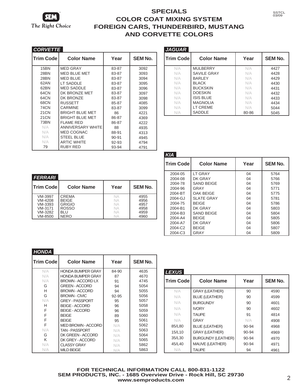

| <i>CORVETTE</i>  |                          |           |                |
|------------------|--------------------------|-----------|----------------|
| <b>Trim Code</b> | <b>Color Name</b>        | Year      | <b>SEM No.</b> |
| 15BN             | <b>MED GRAY</b>          | 83-87     | 3092           |
| 28BN             | <b>MED BLUE MET</b>      | 83-87     | 3093           |
| <b>28BN</b>      | <b>MED BLUE</b>          | 83-87     | 3094           |
| 62AN             | <b>LT SADDLE</b>         | 83-87     | 3095           |
| 62BN             | <b>MED SADDLE</b>        | 83-87     | 3096           |
| 64CN             | DK BRONZE MET            | 83-87     | 3097           |
| 64CN             | DK BRONZE                | 83-87     | 3098           |
| 68CN             | <b>RUSSETT</b>           | 85-87     | 4085           |
| <b>74CN</b>      | CARMINE                  | 83-87     | 3099           |
| 21 <sub>CN</sub> | <b>BRIGHT BI UF MFT</b>  | 86        | 4221           |
| 21 <sub>CN</sub> | <b>BRIGHT BLUE MET</b>   | 86-87     | 4369           |
| 73BN             | FI AMF RFD               | 86-87     | 4222           |
| N/A              | <b>ANNIVERSARY WHITE</b> | 88        | 4935           |
| N/A              | MED COGNAC               | 88-91     | 4313           |
| N/A              | <b>STEEL BLUE</b>        | $90 - 91$ | 4945           |
| N/A              | <b>ARTIC WHITE</b>       | 92-93     | 4794           |
| 79               | <b>RUBY RED</b>          | 93-94     | 4791           |

| <i>JAGUAR</i>    |                   |       |                |
|------------------|-------------------|-------|----------------|
| <b>Trim Code</b> | <b>Color Name</b> | Year  | <b>SEM No.</b> |
| N/A              | <b>MULBERRY</b>   | N/A   | 4427           |
| N/A              | SAVILE GRAY       | N/A   | 4428           |
| N/A              | <b>BARLEY</b>     | N/A   | 4429           |
| N/A              | <b>BI ACK</b>     | N/A   | 4430           |
| N/A              | <b>BUCKSKIN</b>   | N/A   | 4431           |
| N/A              | <b>DOESKIN</b>    | N/A   | 4432           |
| N/A              | <b>ISIS BLUE</b>  | N/A   | 4433           |
| N/A              | <b>MAGNOLIA</b>   | N/A   | 4434           |
| N/A              | LT CREME          | N/A   | 5044           |
| N/A              | SADDLE            | 80-86 | 5045           |

SSTCL 03/09

| <i>FERRARI</i>    |                   |           |                |
|-------------------|-------------------|-----------|----------------|
| <b>ITrim Code</b> | <b>Color Name</b> | Year      | <b>SEM No.</b> |
| VM-3997           | CREMA             | <b>NA</b> | 4955           |
| VM-4208           | <b>BEIGE</b>      | <b>NA</b> | 4956           |
| VM-3393           | <b>GRIGIO</b>     | <b>NA</b> | 4957           |
| VM-3171           | <b>ROSSO</b>      | <b>NA</b> | 4958           |
| VM-3282           | BLU               | <b>NA</b> | 4959           |
| VM-8500           | <b>NERO</b>       | NА        | 4960           |

| K/A              |                   |      |                |
|------------------|-------------------|------|----------------|
| <b>Trim Code</b> | <b>Color Name</b> | Year | <b>SEM No.</b> |
| 2004-05          | <b>LT GRAY</b>    | 04   | 5764           |
| 2004-08          | DK GRAY           | 04   | 5766           |
| 2004-78          | <b>SAND BEIGE</b> | 04   | 5769           |
| 2004-96          | GRAY              | 04   | 5771           |
| 2004-BT          | OAK BEIGE         | 04   | 5775           |
| 2004-GJ          | <b>SLATE GRAY</b> | 04   | 5781           |
| 2004-75          | <b>BEIGE</b>      | 04   | 5786           |
| 2004-B1          | DK GRAY           | 04   | 5803           |
| 2004-B3          | <b>SAND BEIGE</b> | 04   | 5804           |
| 2004-A4          | <b>BEIGE</b>      | 04   | 5805           |
| 2004-A7          | DK GRAY           | 04   | 5806           |
| 2004-C2          | <b>BEIGE</b>      | 04   | 5807           |
| 2004-C3          | GRAY              | 04   | 5809           |

| HONDA            |                           |       |                |
|------------------|---------------------------|-------|----------------|
| <b>Trim Code</b> | <b>Color Name</b>         | Year  | <b>SEM No.</b> |
| N/A              | <b>HONDA BUMPER GRAY</b>  | 84-90 | 4635           |
| N/A              | <b>HONDA BUMPER GRAY</b>  | 87    | 4670           |
| N/A              | BROWN - ACCORD LX         | 91    | 4745           |
| G                | <b>GREEN - ACCORD</b>     | 94    | 5054           |
| H                | <b>BROWN - ACCORD</b>     | 94    | 5055           |
| G                | <b>BROWN - CIVIC</b>      | 92-95 | 5056           |
| N/A              | <b>GREY - PASSPORT</b>    | 95    | 5057           |
| н                | <b>BEIGE - ACCORD</b>     | 96    | 5058           |
| F                | <b>BEIGE - ACCORD</b>     | 96    | 5059           |
| F                | <b>BFIGF</b>              | 89    | 5060           |
| F                | <b>BFIGF</b>              | 95    | 5061           |
| E                | <b>MED BROWN - ACCORD</b> | N/A   | 5062           |
| N/A              | <b>TAN-PASSPORT</b>       | N/A   | 5063           |
| G                | DK GREEN - ACCORD         | N/A   | 5064           |
| K                | DK GREY - ACCORD          | N/A   | 5065           |
| N/A              | <b>CLASSY GRAY</b>        | N/A   | 5862           |
| N/A              | <b>MILD BEIGE</b>         | N/A   | 5863           |

| <i>LEXUS</i>     |                           |       |                |
|------------------|---------------------------|-------|----------------|
| <b>Trim Code</b> | <b>Color Name</b>         | Year  | <b>SEM No.</b> |
| N/A              | <b>GRAY (LEATHER)</b>     | 90    | 4590           |
| N/A              | <b>BLUE (LEATHER)</b>     | 90    | 4599           |
| N/A              | <b>BURGUNDY</b>           | 90    | 4601           |
| N/A              | <b>IVORY</b>              | 90    | 4602           |
| N/A              | TAI IPF                   | 91    | 4814           |
| N/A              | <b>GRAY</b>               | N/A   | 4908           |
| 85/L80           | <b>BLUE (LEATHER)</b>     | 90-94 | 4968           |
| 15/L10           | <b>GRAY (LEATHER)</b>     | 90-94 | 4969           |
| 35/L30           | <b>BURGUNDY (LEATHER)</b> | 90-94 | 4970           |
| 45/L40           | MAUVE (LEATHER)           | 90-94 | 4971           |
| N/A              | <b>TAUPE</b>              | 94    | 4961           |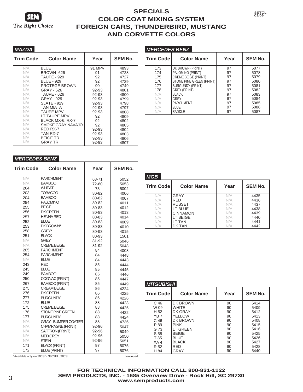

| MAZDA            |                      |        |                |
|------------------|----------------------|--------|----------------|
| <b>Trim Code</b> | <b>Color Name</b>    | Year   | <b>SEM No.</b> |
| N/A              | <b>BLUE</b>          | 91 MPV | 4893           |
| N/A              | <b>BROWN -626</b>    | 91     | 4728           |
| N/A              | <b>TAUPE - 929</b>   | 92     | 4727           |
| N/A              | <b>BLUE - 929</b>    | 92     | 4729           |
| N/A              | <b>PROTEGE BROWN</b> | 90     | 4749           |
| N/A              | GRAY - 626           | 92-93  | 4801           |
| N/A              | <b>TAUPE - 626</b>   | 92-93  | 4800           |
| N/A              | GRAY - 929           | 92-93  | 4799           |
| N/A              | <b>SLATE - 929</b>   | 92-93  | 4798           |
| N/A              | TAN MIATA            | 92-93  | 4797           |
| N/A              | <b>TAUPE MPV</b>     | 92-93  | 4808           |
| N/A              | LT TAUPE MPV         | 92     | 4809           |
| N/A              | BLACK MX-6, RX-7     | 92     | 4802           |
| N/A              | SMOKE GRAY NAVAJO    | 92     | 4805           |
| N/A              | RED RX-7             | 92-93  | 4804           |
| N/A              | TAN RX-7             | 92-93  | 4803           |
| N/A              | <b>BEIGE TR</b>      | 92-93  | 4806           |
| N/A              | <b>GRAY TR</b>       | 92-93  | 4807           |

| <b>MERCEDES BENZ</b> |                            |      |                |
|----------------------|----------------------------|------|----------------|
| <b>Trim Code</b>     | <b>Color Name</b>          | Year | <b>SEM No.</b> |
| 173                  | DK BROWN (PRINT)           | 97   | 5077           |
| 174                  | PALOMINO (PRINT)           | 97   | 5078           |
| 175                  | <b>CREME BEIGE (PRINT)</b> | 97   | 5079           |
| 176                  | STONE PINE GREEN (PRINT)   | 97   | 5080           |
| 177                  | <b>BURGUNDY (PRINT)</b>    | 97   | 5081           |
| 178                  | <b>GREY (PRINT)</b>        | 97   | 5082           |
| N/A                  | <b>BLACK</b>               | 97   | 5083           |
| N/A                  | <b>GREY</b>                | 97   | 5084           |
| N/A                  | <b>PARCHMENT</b>           | 97   | 5085           |
| N/A                  | <b>BLUE</b>                | 97   | 5086           |
| N/A                  | SADDLE                     | 97   | 5087           |

SSTCL 03/09

#### *MERCEDES BENZ*

| <b>Trim Code</b> | <b>Color Name</b>           | Year  | <b>SEM No.</b> |
|------------------|-----------------------------|-------|----------------|
| N/A              | <b>PARCHMENT</b>            | 68-71 | 5052           |
| N/A              | <b>BAMBOO</b>               | 72-80 | 5053           |
| 264              | <b>WHEAT</b>                | 73    | 5002           |
| 203              | <b>TOBACCO</b>              | 80-82 | 4006           |
| 204              | <b>BAMBOO</b>               | 80-82 | 4007           |
| 254              | <b>PALOMINO</b>             | 80-82 | 4011           |
| 255              | <b>BEIGE</b>                | 80-83 | 4012           |
| 256              | <b>DK GREEN</b>             | 80-83 | 4013           |
| 257              | <b>HENNA RED</b>            | 80-83 | 4014           |
| 252              | <b>BLUE</b>                 | 80-83 | 4009           |
| 253              | DK BROWN*                   | 80-83 | 4010           |
| 258              | GREY*                       | 80-93 | 4015           |
| 251              | <b>BLACK</b>                | 80-93 | 1501           |
| N/A              | <b>GREY</b>                 | 81-92 | 5046           |
| N/A              | <b>CREME BEIGE</b>          | 81-92 | 5048           |
| 205              | <b>PARCHMENT</b>            | 84    | 4008           |
| 254              | <b>PARCHMENT</b>            | 84    | 4448           |
| N/A              | <b>BLUE</b>                 | 84    | 4443           |
| 243              | <b>RED</b>                  | 85    | 4444           |
| 245              | <b>BLUE</b>                 | 85    | 4445           |
| 249              | <b>BAMBOO</b>               | 85    | 4446           |
| 250              | COGNAC (PRINT)              | 85    | 4447           |
| 267              | <b>BAMBOO (PRINT)</b>       | 85    | 4449           |
| 275              | <b>CREAM BEIGE</b>          | 86    | 4224           |
| 276              | <b>DK GREEN</b>             | 86    | 4225           |
| 277              | <b>BURGUNDY</b>             | 86    | 4226           |
| 172              | <b>BLUE</b>                 | 88    | 4423           |
| 175              | <b>CREME BEIGE</b>          | 88    | 4425           |
| 176              | <b>STONE PINE GREEN</b>     | 88    | 4422           |
| 177              | <b>BURGUNDY</b>             | 88    | 4424           |
| N/A              | <b>GRAY - BUMPER COATER</b> | 88    | 4736           |
| N/A              | CHAMPAGNE (PRINT)           | 92-96 | 5047           |
| N/A              | SAFFRON (PRINT)             | 92-96 | 5049           |
| N/A              | <b>MED GREY</b>             | 92-96 | 5050           |
| N/A              | <b>STEIN</b>                | 92-96 | 5051           |
| 171              | <b>BLACK (PRINT)</b>        | 97    | 5075           |
| 172              | <b>BLUE (PRINT)</b>         | 97    | 5076           |

| MGB              |                   |      |                |
|------------------|-------------------|------|----------------|
| <b>Trim Code</b> | <b>Color Name</b> | Year | <b>SEM No.</b> |
| N/A              | GRAY              | N/A  | 4435           |
| N/A              | <b>RED</b>        | N/A  | 4436           |
| N/A              | <b>RUSSET</b>     | N/A  | 4437           |
| N/A              | LT BLUE           | N/A  | 4438           |
| N/A              | <b>CINNAMON</b>   | N/A  | 4439           |
| N/A              | LT BEIGE          | N/A  | 4440           |
| N/A              | LT TAN            | N/A  | 4441           |
| N/A              | DK TAN            | N/A  | 4442           |

| <i>MITSUBISHI</i> |                   |      |                |
|-------------------|-------------------|------|----------------|
| <b>Trim Code</b>  | <b>Color Name</b> | Year | <b>SEM No.</b> |
| C 46              | DK BROWN          | 90   | 5414           |
| W 09              | <b>WHITE</b>      | 90   | 5409           |
| H <sub>52</sub>   | DK GRAY           | 90   | 5412           |
| YB <sub>7</sub>   | YELLOW            | 90   | 5413           |
| C <sub>46</sub>   | DK BROWN          | 90   | 5408           |
| P 89              | <b>PINK</b>       | 90   | 5415           |
| G 73              | I T GRFFN         | 90   | 5416           |
| S 55              | <b>BEIGE</b>      | 90   | 5425           |
| T 85              | <b>BLUE</b>       | 90   | 5426           |
| XA4               | <b>BLACK</b>      | 90   | 5427           |
| R 52              | <b>RFD</b>        | 90   | 5428           |
| H 84              | GRAY              | 90   | 5440           |

\*Available only on 300SD, 380SEL, 380SL continued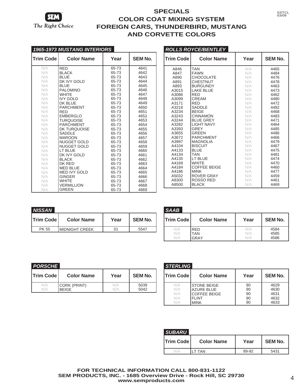

| 1965-1973 MUSTANG INTERIORS |                     |       |                |  |
|-----------------------------|---------------------|-------|----------------|--|
| <b>Trim Code</b>            | <b>Color Name</b>   | Year  | <b>SEM No.</b> |  |
| N/A                         | <b>RED</b>          | 65-73 | 4641           |  |
| N/A                         | <b>BLACK</b>        | 65-73 | 4642           |  |
| N/A                         | <b>BLUE</b>         | 65-73 | 4643           |  |
| N/A                         | DK IVY GOLD         | 65-73 | 4644           |  |
| N/A                         | <b>BLUE</b>         | 65-73 | 4645           |  |
| N/A                         | <b>PALOMINO</b>     | 65-73 | 4646           |  |
| N/A                         | <b>WHITF</b>        | 65-73 | 4647           |  |
| N/A                         | <b>IVY GOLD</b>     | 65-73 | 4648           |  |
| N/A                         | DK BLUE             | 65-73 | 4649           |  |
| N/A                         | <b>PARCHMENT</b>    | 65-73 | 4650           |  |
| N/A                         | RED                 | 65-73 | 4651           |  |
| N/A                         | <b>EMBERGLO</b>     | 65-73 | 4652           |  |
| N/A                         | <b>TURQUOISE</b>    | 65-73 | 4653           |  |
| N/A                         | <b>PARCHMENT</b>    | 65-73 | 4654           |  |
| N/A                         | DK TURQUOISE        | 65-73 | 4655           |  |
| N/A                         | <b>SADDLE</b>       | 65-73 | 4656           |  |
| N/A                         | <b>MAROON</b>       | 65-73 | 4657           |  |
| N/A                         | <b>NUGGET GOLD</b>  | 65-73 | 4658           |  |
| N/A                         | <b>NUGGET GOLD</b>  | 65-73 | 4659           |  |
| N/A                         | LT BLUE             | 65-73 | 4660           |  |
| N/A                         | DK IVY GOLD         | 65-73 | 4661           |  |
| N/A                         | <b>BLACK</b>        | 65-73 | 4662           |  |
| N/A                         | DK RED              | 65-73 | 4663           |  |
| N/A                         | <b>MED BLUE</b>     | 65-73 | 4664           |  |
| N/A                         | <b>MED IVY GOLD</b> | 65-73 | 4665           |  |
| N/A                         | <b>GINGER</b>       | 65-73 | 4666           |  |
| N/A                         | <b>WHITE</b>        | 65-73 | 4667           |  |
| N/A                         | VERMILLION          | 65-73 | 4668           |  |
| N/A                         | <b>GREEN</b>        | 65-73 | 4669           |  |

|                  | <i>ROLLS ROYCE/BENTLEY</i> |      |                |
|------------------|----------------------------|------|----------------|
| <b>Trim Code</b> | <b>Color Name</b>          | Year | <b>SEM No.</b> |
| A846             | <b>TAN</b>                 | N/A  | 4465           |
| A847             | <b>FAWN</b>                | N/A  | 4484           |
| A890             | CHOCOLATE                  | N/A  | 4476           |
| A891             | <b>CHESTNUT</b>            | N/A  | 4478           |
| A893             | <b>BURGUNDY</b>            | N/A  | 4463           |
| A3015            | <b>LAKE BLUE</b>           | N/A  | 4473           |
| A3086            | <b>RED</b>                 | N/A  | 4462           |
| A3099            | CREAM                      | N/A  | 4480           |
| A3171            | <b>RED</b>                 | N/A  | 4472           |
| A3218            | SADDLE                     | N/A  | 4482           |
| A3234            | <b>BEIGE</b>               | N/A  | 4468           |
| A3243            | <b>CINNAMON</b>            | N/A  | 4483           |
| A3244            | <b>BLUE GREY</b>           | N/A  | 4471           |
| A3282            | <b>LIGHT NAVY</b>          | N/A  | 4464           |
| A3393            | <b>GREY</b>                | N/A  | 4485           |
| A3655            | <b>GRFFN</b>               | N/A  | 4486           |
| A3672            | <b>PARCHMENT</b>           | N/A  | 4466           |
| A3997            | <b>MAGNOLIA</b>            | N/A  | 4479           |
| A4104            | <b>BISCUIT</b>             | N/A  | 4467           |
| A4133            | <b>BLUE</b>                | N/A  | 4475           |
| A4134            | TAN                        | N/A  | 4481           |
| A4135            | LT BLUE                    | N/A  | 4474           |
| A4169            | <b>WHITE</b>               | N/A  | 4470           |
| A4184            | <b>COFFEE BEIGE</b>        | N/A  | 4460           |
| A4186            | <b>MINK</b>                | N/A  | 4477           |
| A5032            | ROVER GRAY                 | N/A  | 4459           |
| A8300            | ROSSO RED                  | N/A  | 4461           |
| A8500            | <b>BLACK</b>               | N/A  | 4469           |

| NISSAN             |                       |      |                |
|--------------------|-----------------------|------|----------------|
| <b>ITrim Codel</b> | <b>Color Name</b>     | Year | <b>SEM No.</b> |
| PK 55              | <b>MIDNIGHT CREEK</b> |      | 5547           |

| SAAB               |                           |            |                      |
|--------------------|---------------------------|------------|----------------------|
| <b>Trim Code</b>   | <b>Color Name</b>         | Year       | <b>SEM No.</b>       |
| N/A<br>N/A<br>\I/A | <b>RFD</b><br>TAN<br>GRAY | N/A<br>N/A | 4584<br>4585<br>4586 |

| PORSCHE           |                              |               |                |
|-------------------|------------------------------|---------------|----------------|
| <b>Trim Code!</b> | <b>Color Name</b>            | Year          | <b>SEM No.</b> |
| N/A<br>N/A        | CORK (PRINT)<br><b>BEIGE</b> | N/A<br>\I / A | 5039<br>5042   |

| STERLING  |                     |      |                |  |
|-----------|---------------------|------|----------------|--|
| Trim Code | <b>Color Name</b>   | Year | <b>SEM No.</b> |  |
| N/A       | <b>STONE BEIGE</b>  | 90   | 4629           |  |
| N/A       | <b>AZURE BLUE</b>   | 90   | 4630           |  |
| N/A       | <b>COFFEE BEIGE</b> | 90   | 4631           |  |
| N/A       | FI INT              | 90   | 4632           |  |
| NI/A      | MINK                | 90   | 4633           |  |

| SUBARU           |                   |       |                |
|------------------|-------------------|-------|----------------|
| <b>Trim Code</b> | <b>Color Name</b> | Year  | <b>SEM No.</b> |
|                  | ' TAN             | 89-92 | 5431           |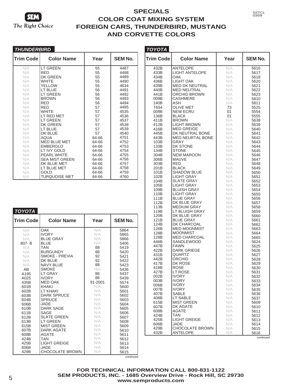

*TOYOTA*

### **SPECIALS COLOR COAT MIXING SYSTEM FOREIGN CARS, THUNDERBIRD, MUSTANG AND CORVETTE COLORS**

*TOYOTA*

| <i>THUNDERBIRD</i> |                       |       |                |
|--------------------|-----------------------|-------|----------------|
| <b>Trim Code</b>   | <b>Color Name</b>     | Year  | <b>SEM No.</b> |
| N/A                | <b>LT GREEN</b>       | 55    | 4487           |
| N/A                | RFD                   | 55    | 4488           |
| N/A                | DK GREEN              | 55    | 4489           |
| N/A                | WHITE                 | 55    | 4490           |
| N/A                | YFI I OW              | 55    | 4634           |
| N/A                | LT BLUE               | 56    | 4491           |
| N/A                | LT GREEN              | 56    | 4492           |
| N/A                | <b>BROWN</b>          | 56    | 4493           |
| N/A                | RFD                   | 56    | 4494           |
| N/A                | RFD                   | 57    | 4495           |
| N/A                | <b>WHITE</b>          | 57    | 4535           |
| N/A                | LT RED MET            | 57    | 4536           |
| N/A                | LT GREEN              | 57    | 4537           |
| N/A                | DK GREEN              | 57    | 4538           |
| N/A                | LT BLUE               | 57    | 4539           |
| N/A                | DK BLUE               | 57    | 4540           |
| N/A                | AQUA                  | 64-66 | 4751           |
| N/A                | MED BLUE MET          | 64-66 | 4752           |
| N/A                | <b>EMBERGLO</b>       | 64-66 | 4753           |
| N/A                | LT IVY GOLD           | 64-66 | 4754           |
| N/A                | PEARL WHITE           | 64-66 | 4755           |
| N/A                | <b>SEA MIST GREEN</b> | 64-66 | 4756           |
| N/A                | DK BLUE MET           | 64-66 | 4757           |
| N/A                | LT BLUE MET           | 64-66 | 4758           |
| N/A                | GOLD                  | 64-66 | 4759           |
| N/A                | <b>TURQUOISE MET</b>  | 64-66 | 4760           |

| Trim Code    | <b>Color Name</b>                  | Year       | <b>SEM No.</b> |
|--------------|------------------------------------|------------|----------------|
| 432B         | <b>ANTELOPE</b>                    | N/A        | 5616           |
| 433B         | <b>LIGHT ANTELOPE</b>              | N/A        | 5617           |
| 434B         | OAK                                | N/A        | 5618           |
| 436B         | LIGHT OAK                          | N/A        | 5620           |
| 439B         | <b>MED DK NEUTRAL</b>              | N/A        | 5621           |
| 440B         | <b>MED NEUTRAL</b>                 | N/A        | 5622           |
| 441B         | ORCHID BROWN                       | N/A        | 5623           |
| 009B         | <b>CASHMERE</b>                    | N/A        | 5810           |
| 140B         | ASH                                | N/A        | 5811           |
| T654         | <b>OLIVE MET</b>                   | 73         | 5525           |
| 008B         | <b>NEW ECRU</b>                    | 01         | 5554           |
| 136B         | BLACK<br><b>BROWN</b>              | 01         | 5555           |
| 411B<br>412B | <b>LIGHT BROWN</b>                 | N/A<br>N/A | 5638           |
| 416B         | <b>MED GREIGE</b>                  | N/A        | 5639<br>5640   |
| 445B         | DK NEUTRAL BONE                    | N/A        | 5641           |
| 443B         | <b>MED NEURTAL BONE</b>            | N/A        | 5642           |
| 103B         | GRAY                               | N/A        | 5643           |
| 133B         | DK STONE                           | N/A        | 5644           |
| 134B         | <b>STONE</b>                       | N/A        | 5645           |
| 304B         | <b>NEW MAROON</b>                  | N/A        | 5646           |
| 306B         | <b>MAUVE</b>                       | N/A        | 5647           |
| 303B         | RED                                | N/A        | 5648           |
| 201B         | <b>BLACK</b>                       | N/A        | 5649           |
| 101B         | <b>SHADOW BLUE</b>                 | N/A        | 5650           |
| 102B         | <b>LIGHT GRAY</b>                  | N/A        | 5651           |
| 104B         | <b>SLATE GRAY</b>                  | N/A        | 5652           |
| 105B         | LIGHT GRAY                         | N/A        | 5653           |
| 109B         | BLUISH GRAY                        | N/A        | 5654           |
| 110B         | <b>LIGHT GRAY</b>                  | N/A        | 5655           |
| 111B         | <b>BLUE GRAY</b>                   | N/A        | 5656           |
| 112B         | DK BLUE GRAY<br><b>MEDIUM GRAY</b> | N/A        | 5657           |
| 113B<br>119B | LT BLUISH GRAY                     | N/A<br>N/A | 5658           |
| 120B         | DK BLUE GRAY                       | N/A        | 5659<br>5660   |
| 121B         | <b>BLUE GRAY</b>                   | N/A        | 5661           |
| 124B         | DK CHARCOAL                        | N/A        | 5662           |
| 126B         | <b>MED MOONMIST</b>                | N/A        | 5663           |
| 128B         | MOONMIST                           | N/A        | 5664           |
| 128B         | <b>MED CHARCOAL</b>                | N/A        | 5665           |
| 446B         | <b>SANDLEWOOD</b>                  | N/A        | 5624           |
| 447B         | <b>FAWN</b>                        | N/A        | 5625           |
| 422B         | <b>DARK GRIEGE</b>                 | N/A        | 5626           |
| 431B         | QUARTZ                             | N/A        | 5627           |
| 442B         | <b>ORCHID</b>                      | N/A        | 5628           |
| 417B         | DK ROSE                            | N/A        | 5629           |
| 418B         | <b>ROSE</b>                        | N/A        | 5630           |
| 427B         | LT ROSE                            | N/A        | 5631           |
| 002B         | <b>IVORY</b>                       | N/A        | 5632           |
| 003B         | <b>IVORY</b>                       | N/A        | 5633           |
| 006B         | <b>IVORY</b><br><b>IVORY</b>       | N/A        | 5634           |
| 007B<br>407B | <b>SABLE</b>                       | N/A<br>N/A | 5635           |
| 408B         | LT SABLE                           | N/A        | 5636<br>5637   |
| 615B         | MIST GREEN                         | N/A        | 5609           |
| 607B         | DK AGATE                           | N/A        | 5610           |
| 608B         | AGATE                              | N/A        | 5611           |
| 424B         | TAN                                | N/A        | 5612           |
| 425B         | <b>LIGHT GREIGE</b>                | N/A        | 5613           |
| 606B         | JADE                               | N/A        | 5614           |
| 429B         | <b>CHOCOLATE BROWN</b>             | N/A        | 5615           |
| 432B         | <b>ANTELOPE</b>                    | N/A        | 5616           |
|              |                                    |            | continued      |

SSTCL 03/09

| <b>Trim Code</b> | <b>Color Name</b>      | Year    | <b>SEM No.</b> |
|------------------|------------------------|---------|----------------|
| N/A              | <b>OAK</b>             | N/A     | 5864           |
| N/A              | <b>IVORY</b>           | N/A     | 5865           |
| N/A              | <b>BLUE GRAY</b>       | N/A     | 5866           |
| $807 - B$        | <b>BLUE</b>            | N/A     | 5406           |
| N/A              | TAN                    | 88      | 5419           |
| N/A              | <b>BURGUNDY</b>        | 88      | 5420           |
| N/A              | <b>SMOKE - PREVIA</b>  | 92      | 5421           |
| N/A              | DK BLUE                | 92      | 5422           |
| N/A              | <b>NAVY BLUE</b>       | 88      | 5423           |
| AB               | <b>SMOKE</b>           | N/A     | 5436           |
| A195             | <b>LT GRAY</b>         | 86      | 5437           |
| A025             | <b>IVORY</b>           | 86      | 5439           |
| 435B             | <b>MED OAK</b>         | 91-2001 | 5574           |
| 601B             | <b>KHAKI</b>           | N/A     | 5600           |
| 602B             | I T KHAKI              | N/A     | 5601           |
| 603B             | <b>DARK SPRUCE</b>     | N/A     | 5602           |
| 604B             | <b>SPRUCE</b>          | N/A     | 5603           |
| 606B             | JADE                   | N/A     | 5604           |
| 610B             | <b>DARK SAGE</b>       | N/A     | 5605           |
| 611B             | SAGE                   | N/A     | 5606           |
| 612B             | <b>SLATE GREEN</b>     | N/A     | 5607           |
| 613B             | <b>LT GREEN</b>        | N/A     | 5608           |
| 615B             | <b>MIST GREEN</b>      | N/A     | 5609           |
| 607B             | DARK AGATE             | N/A     | 5610           |
| 608B             | <b>AGATE</b>           | N/A     | 5611           |
| 424B             | <b>TAN</b>             | N/A     | 5612           |
| 425B             | <b>LIGHT GREIGE</b>    | N/A     | 5613           |
| 606B             | JADE                   | N/A     | 5614           |
| 429B             | <b>CHOCOLATE BROWN</b> | N/A     | 5615           |

**FOR TECHNICAL INFORMATION CALL 800-831-1122 SEM PRODUCTS, INC. - 1685 Overview Drive - Rock Hill, SC 29730 www.semproducts.com**

continued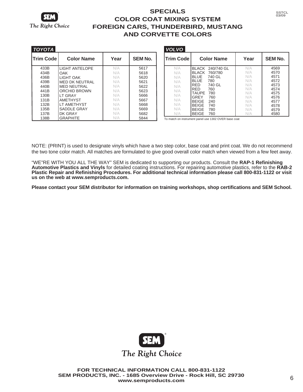

| TOYOTA            |                       |      |                |
|-------------------|-----------------------|------|----------------|
| <b>ITrim Code</b> | <b>Color Name</b>     | Year | <b>SEM No.</b> |
| 433B              | <b>LIGHT ANTELOPE</b> | N/A  | 5617           |
| 434B              | OAK                   | N/A  | 5618           |
| 436B              | LIGHT OAK             | N/A  | 5620           |
| 439B              | <b>MED DK NEUTRAL</b> | N/A  | 5621           |
| 440B              | MED NEUTRAL           | N/A  | 5622           |
| 441 <sub>B</sub>  | ORCHID BROWN          | N/A  | 5623           |
| 130B              | LT GRAY               | N/A  | 5666           |
| 131B              | <b>AMETHYST</b>       | N/A  | 5667           |
| 132B              | LT AMETHYST           | N/A  | 5668           |
| 135B              | SADDLE GRAY           | N/A  | 5669           |
| 137B              | DK GRAY               | N/A  | 5682           |
| 138B              | <b>GRAPHITE</b>       | N/A  | 5844           |

| <i>VOL VO</i>    |              |                   |      |                |
|------------------|--------------|-------------------|------|----------------|
| <b>Trim Code</b> |              | <b>Color Name</b> | Year | <b>SEM No.</b> |
| N/A              |              | BLACK 240/740 GL  | N/A  | 4569           |
| N/A              | <b>BLACK</b> | 760/780           | N/A  | 4570           |
| N/A              | <b>BLUE</b>  | 740 GL            | N/A  | 4571           |
| N/A              | <b>BLUE</b>  | 780               | N/A  | 4572           |
| N/A              | RFD          | 740 GL            | N/A  | 4573           |
| N/A              | <b>RFD</b>   | 760               | N/A  | 4574           |
|                  | <b>TAUPF</b> | 780               | N/A  | 4575           |
| N/A              | GRFY         | 760               | N/A  | 4576           |
| N/A              | <b>BEIGE</b> | 240               | N/A  | 4577           |
| N/A              | <b>BEIGE</b> | 740               | N/A  | 4578           |
| N/A              | <b>BEIGE</b> | 780               | N/A  | 4579           |
| N/A              | <b>BEIGE</b> | 760               | N/A  | 4580           |

To match on instrument panel use 1302 OVER base coat

NOTE: (PRINT) is used to designate vinyls which have a two step color, base coat and print coat. We do not recommend the two tone color match. All matches are formulated to give good overall color match when viewed from a few feet away.

"WE"RE WITH YOU ALL THE WAY" SEM is dedicated to supporting our products. Consult the **RAP-1 Refinishing Automotive Plastics and Vinyls** for detailed coating instructions. For repairing automotive plastics, refer to the **RAB-2 Plastic Repair and Refinishing Procedures. For additional technical information please call 800-831-1122 or visit us on the web at www.semproducts.com.**

**Please contact your SEM distributor for information on training workshops, shop certifications and SEM School.**